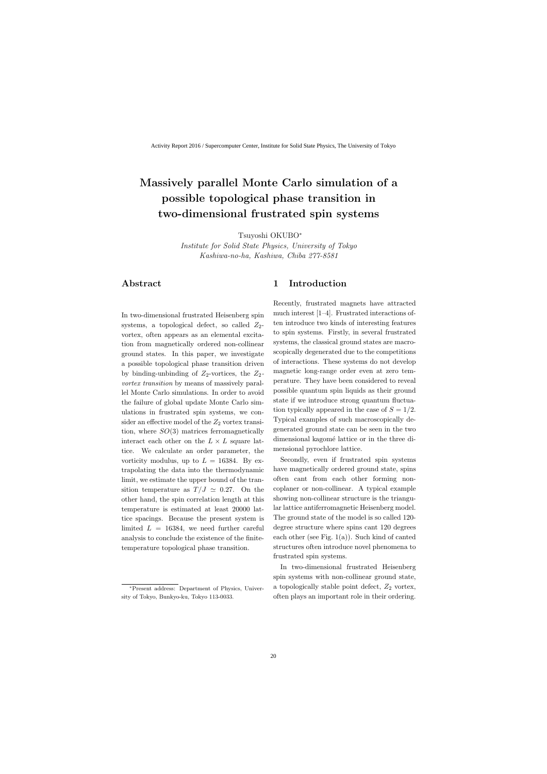# **Massively parallel Monte Carlo simulation of a possible topological phase transition in two-dimensional frustrated spin systems**

Tsuyoshi OKUBO*<sup>∗</sup>*

*Institute for Solid State Physics, University of Tokyo Kashiwa-no-ha, Kashiwa, Chiba 277-8581*

# **Abstract**

In two-dimensional frustrated Heisenberg spin systems, a topological defect, so called  $Z_2$ vortex, often appears as an elemental excitation from magnetically ordered non-collinear ground states. In this paper, we investigate a possible topological phase transition driven by binding-unbinding of  $Z_2$ -vortices, the  $Z_2$ *vortex transition* by means of massively parallel Monte Carlo simulations. In order to avoid the failure of global update Monte Carlo simulations in frustrated spin systems, we consider an effective model of the  $Z_2$  vortex transition, where *SO*(3) matrices ferromagnetically interact each other on the  $L \times L$  square lattice. We calculate an order parameter, the vorticity modulus, up to  $L = 16384$ . By extrapolating the data into the thermodynamic limit, we estimate the upper bound of the transition temperature as  $T/J \simeq 0.27$ . On the other hand, the spin correlation length at this temperature is estimated at least 20000 lattice spacings. Because the present system is limited  $L = 16384$ , we need further careful analysis to conclude the existence of the finitetemperature topological phase transition.

# **1 Introduction**

Recently, frustrated magnets have attracted much interest [1–4]. Frustrated interactions often introduce two kinds of interesting features to spin systems. Firstly, in several frustrated systems, the classical ground states are macroscopically degenerated due to the competitions of interactions. These systems do not develop magnetic long-range order even at zero temperature. They have been considered to reveal possible quantum spin liquids as their ground state if we introduce strong quantum fluctuation typically appeared in the case of  $S = 1/2$ . Typical examples of such macroscopically degenerated ground state can be seen in the two dimensional kagomé lattice or in the three dimensional pyrochlore lattice.

Secondly, even if frustrated spin systems have magnetically ordered ground state, spins often cant from each other forming noncoplaner or non-collinear. A typical example showing non-collinear structure is the triangular lattice antiferromagnetic Heisenberg model. The ground state of the model is so called 120 degree structure where spins cant 120 degrees each other (see Fig.  $1(a)$ ). Such kind of canted structures often introduce novel phenomena to frustrated spin systems.

In two-dimensional frustrated Heisenberg spin systems with non-collinear ground state, a topologically stable point defect, *Z*<sup>2</sup> vortex, often plays an important role in their ordering.

*<sup>∗</sup>*Present address: Department of Physics, University of Tokyo, Bunkyo-ku, Tokyo 113-0033.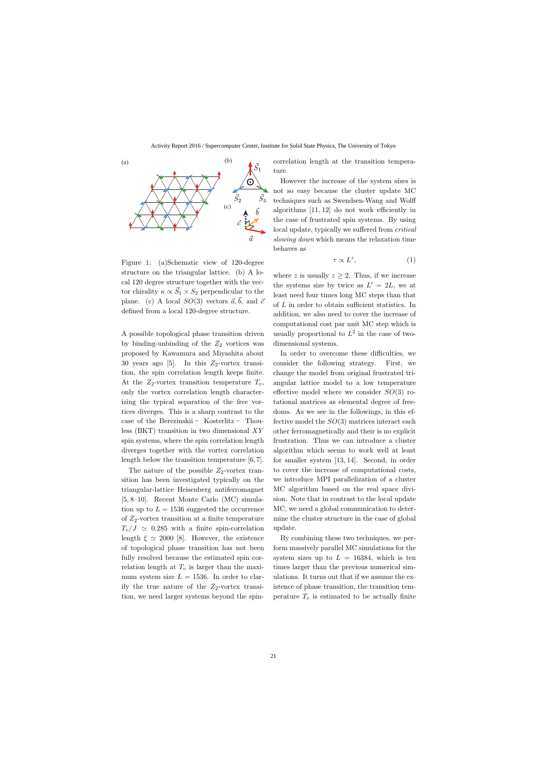

Figure 1: (a)Schematic view of 120-degree structure on the triangular lattice. (b) A local 120 degree structure together with the vector chirality  $\kappa \propto \vec{S}_1 \times S_2$  perpendicular to the plane. (c) A local  $SO(3)$  vectors  $\vec{a}, \vec{b}$ , and  $\vec{c}$ defined from a local 120-degree structure.

A possible topological phase transition driven by binding-unbinding of the  $Z_2$  vortices was proposed by Kawamura and Miyashita about 30 years ago [5]. In this  $Z_2$ -vortex transition, the spin correlation length keeps finite. At the  $Z_2$ -vortex transition temperature  $T_v$ , only the vortex correlation length characterizing the typical separation of the free vortices diverges. This is a sharp contrast to the case of the Berezinskii ‒ Kosterlitz ‒ Thouless (BKT) transition in two dimensional *XY* spin systems, where the spin correlation length diverges together with the vortex correlation length below the transition temperature [6, 7].

The nature of the possible  $Z_2$ -vortex transition has been investigated typically on the triangular-lattice Heisenberg antiferromagnet [5, 8–10]. Recent Monte Carlo (MC) simulation up to  $L = 1536$  suggested the occurrence of *Z*2-vortex transition at a finite temperature  $T_v/J \simeq 0.285$  with a finite spin-correlation length  $\xi \simeq 2000$  [8]. However, the existence of topological phase transition has not been fully resolved because the estimated spin correlation length at  $T_v$  is larger than the maximum system size  $L = 1536$ . In order to clarify the true nature of the  $Z_2$ -vortex transition, we need larger systems beyond the spincorrelation length at the transition temperature.

However the increase of the system sizes is not so easy because the cluster update MC techniques such as Swendsen-Wang and Wolff algorithms [11, 12] do not work efficiently in the case of frustrated spin systems. By using local update, typically we suffered from *critical slowing down* which means the relaxation time behaves as

$$
\tau \propto L^z,\tag{1}
$$

where *z* is usually  $z > 2$ . Thus, if we increase the systems size by twice as  $L' = 2L$ , we at least need four times long MC steps than that of *L* in order to obtain sufficient statistics. In addition, we also need to cover the increase of computational cost par unit MC step which is usually proportional to  $L^2$  in the case of twodimensional systems.

In order to overcome these difficulties, we consider the following strategy. First, we change the model from original frustrated triangular lattice model to a low temperature effective model where we consider *SO*(3) rotational matrices as elemental degree of freedoms. As we see in the followings, in this effective model the *SO*(3) matrices interact each other ferromagnetically and their is no explicit frustration. Thus we can introduce a cluster algorithm which seems to work well at least for smaller system [13, 14]. Second, in order to cover the increase of computational costs, we introduce MPI parallelization of a cluster MC algorithm based on the real space division. Note that in contrast to the local update MC, we need a global communication to determine the cluster structure in the case of global update.

By combining these two techniques, we perform massively parallel MC simulations for the system sizes up to  $L = 16384$ , which is ten times larger than the previous numerical simulations. It turns out that if we assume the existence of phase transition, the transition temperature  $T_v$  is estimated to be actually finite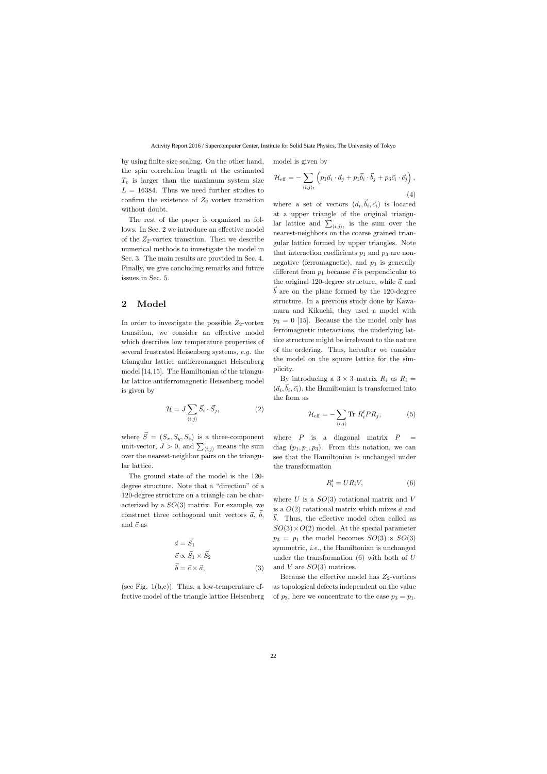by using finite size scaling. On the other hand, the spin correlation length at the estimated  $T_v$  is larger than the maximum system size  $L = 16384$ . Thus we need further studies to confirm the existence of  $Z_2$  vortex transition without doubt.

The rest of the paper is organized as follows. In Sec. 2 we introduce an effective model of the  $Z_2$ -vortex transition. Then we describe numerical methods to investigate the model in Sec. 3. The main results are provided in Sec. 4. Finally, we give concluding remarks and future issues in Sec. 5.

## **2 Model**

In order to investigate the possible  $Z_2$ -vortex transition, we consider an effective model which describes low temperature properties of several frustrated Heisenberg systems, *e.g.* the triangular lattice antiferromagnet Heisenberg model [14,15]. The Hamiltonian of the triangular lattice antiferromagnetic Heisenberg model is given by

$$
\mathcal{H} = J \sum_{\langle i,j \rangle} \vec{S}_i \cdot \vec{S}_j,\tag{2}
$$

where  $\vec{S} = (S_x, S_y, S_z)$  is a three-component unit-vector,  $J > 0$ , and  $\sum_{\langle i,j \rangle}$  means the sum over the nearest-neighbor pairs on the triangular lattice.

The ground state of the model is the 120 degree structure. Note that a "direction" of a 120-degree structure on a triangle can be characterized by a *SO*(3) matrix. For example, we construct three orthogonal unit vectors  $\vec{a}$ ,  $\vec{b}$ , and  $\vec{c}$  as

$$
\vec{a} = \vec{S}_1
$$
  
\n
$$
\vec{c} \propto \vec{S}_1 \times \vec{S}_2
$$
  
\n
$$
\vec{b} = \vec{c} \times \vec{a},
$$
\n(3)

(see Fig.  $1(b,c)$ ). Thus, a low-temperature effective model of the triangle lattice Heisenberg model is given by

$$
\mathcal{H}_{\text{eff}} = -\sum_{\langle i,j\rangle_t} \left( p_1 \vec{a}_i \cdot \vec{a}_j + p_1 \vec{b}_i \cdot \vec{b}_j + p_3 \vec{c}_i \cdot \vec{c}_j \right),\tag{4}
$$

where a set of vectors  $(\vec{a}_i, \vec{b}_i, \vec{c}_i)$  is located at a upper triangle of the original triangular lattice and  $\sum_{\langle i,j \rangle_t}$  is the sum over the nearest-neighbors on the coarse grained triangular lattice formed by upper triangles. Note that interaction coefficients  $p_1$  and  $p_3$  are nonnegative (ferromagnetic), and  $p_3$  is generally different from  $p_1$  because  $\vec{c}$  is perpendicular to the original 120-degree structure, while  $\vec{a}$  and  $\vec{b}$  are on the plane formed by the 120-degree structure. In a previous study done by Kawamura and Kikuchi, they used a model with  $p_3 = 0$  [15]. Because the the model only has ferromagnetic interactions, the underlying lattice structure might be irrelevant to the nature of the ordering. Thus, hereafter we consider the model on the square lattice for the simplicity.

By introducing a  $3 \times 3$  matrix  $R_i$  as  $R_i$  =  $(\vec{a}_i, \vec{b}_i, \vec{c}_i)$ , the Hamiltonian is transformed into the form as

$$
\mathcal{H}_{\text{eff}} = -\sum_{\langle i,j \rangle} \text{Tr} \ R_i^t P R_j, \tag{5}
$$

where  $P$  is a diagonal matrix  $P =$ diag  $(p_1, p_1, p_3)$ . From this notation, we can see that the Hamiltonian is unchanged under the transformation

$$
R_i' = U R_i V,\t\t(6)
$$

where *U* is a *SO*(3) rotational matrix and *V* is a  $O(2)$  rotational matrix which mixes  $\vec{a}$  and  $\vec{b}$ . Thus, the effective model often called as  $SO(3) \times O(2)$  model. At the special parameter  $p_3 = p_1$  the model becomes  $SO(3) \times SO(3)$ symmetric, *i.e.*, the Hamiltonian is unchanged under the transformation (6) with both of *U* and *V* are *SO*(3) matrices.

Because the effective model has  $Z_2$ -vortices as topological defects independent on the value of  $p_3$ , here we concentrate to the case  $p_3 = p_1$ .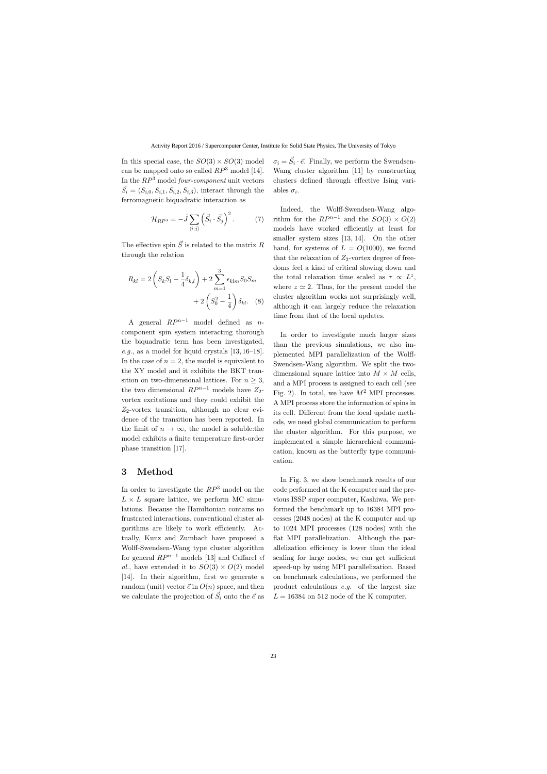In this special case, the  $SO(3) \times SO(3)$  model can be mapped onto so called *RP*<sup>3</sup> model [14]. In the *RP*<sup>3</sup> model *four-component* unit vectors  $\vec{S}_i = (S_{i,0}, S_{i,1}, S_{i,2}, S_{i,3})$ , interact through the ferromagnetic biquadratic interaction as

$$
\mathcal{H}_{RP^3} = -\tilde{J} \sum_{\langle i,j \rangle} \left( \vec{S}_i \cdot \vec{S}_j \right)^2.
$$
 (7)

The effective spin  $\vec{S}$  is related to the matrix  $R$ through the relation

$$
R_{kl} = 2\left(S_k S_l - \frac{1}{4}\delta_{k,l}\right) + 2\sum_{m=1}^{3} \epsilon_{klm} S_0 S_m + 2\left(S_0^2 - \frac{1}{4}\right)\delta_{kl}.
$$
 (8)

A general  $RP^{n-1}$  model defined as *n*component spin system interacting thorough the biquadratic term has been investigated, *e.g.*, as a model for liquid crystals [13, 16–18]. In the case of  $n = 2$ , the model is equivalent to the XY model and it exhibits the BKT transition on two-dimensional lattices. For  $n \geq 3$ , the two dimensional  $RP^{n-1}$  models have  $Z_2$ vortex excitations and they could exhibit the *Z*2-vortex transition, although no clear evidence of the transition has been reported. In the limit of  $n \to \infty$ , the model is soluble:the model exhibits a finite temperature first-order phase transition [17].

## **3 Method**

In order to investigate the *RP*<sup>3</sup> model on the  $L \times L$  square lattice, we perform MC simulations. Because the Hamiltonian contains no frustrated interactions, conventional cluster algorithms are likely to work efficiently. Actually, Kunz and Zumbach have proposed a Wolff-Swendsen-Wang type cluster algorithm for general  $RP^{n-1}$  models [13] and Caffarel *el al.*, have extended it to  $SO(3) \times O(2)$  model [14]. In their algorithm, first we generate a random (unit) vector  $\vec{e}$  in  $O(n)$  space, and then we calculate the projection of  $\vec{S}_i$  onto the  $\vec{e}$  as

 $\sigma_i = \vec{S}_i \cdot \vec{e}$ . Finally, we perform the Swendsen-Wang cluster algorithm [11] by constructing clusters defined through effective Ising variables  $\sigma_i$ .

Indeed, the Wolff-Swendsen-Wang algorithm for the  $RP^{n-1}$  and the  $SO(3) \times O(2)$ models have worked efficiently at least for smaller system sizes [13, 14]. On the other hand, for systems of  $L = O(1000)$ , we found that the relaxation of  $Z_2$ -vortex degree of freedoms feel a kind of critical slowing down and the total relaxation time scaled as  $\tau \propto L^z$ , where  $z \approx 2$ . Thus, for the present model the cluster algorithm works not surprisingly well, although it can largely reduce the relaxation time from that of the local updates.

In order to investigate much larger sizes than the previous simulations, we also implemented MPI parallelization of the Wolff-Swendsen-Wang algorithm. We split the twodimensional square lattice into  $M \times M$  cells, and a MPI process is assigned to each cell (see Fig. 2). In total, we have  $M^2$  MPI processes. A MPI process store the information of spins in its cell. Different from the local update methods, we need global communication to perform the cluster algorithm. For this purpose, we implemented a simple hierarchical communication, known as the butterfly type communication.

In Fig. 3, we show benchmark results of our code performed at the K computer and the previous ISSP super computer, Kashiwa. We performed the benchmark up to 16384 MPI processes (2048 nodes) at the K computer and up to 1024 MPI processes (128 nodes) with the flat MPI parallelization. Although the parallelization efficiency is lower than the ideal scaling for large nodes, we can get sufficient speed-up by using MPI parallelization. Based on benchmark calculations, we performed the product calculations *e.g.* of the largest size  $L = 16384$  on 512 node of the K computer.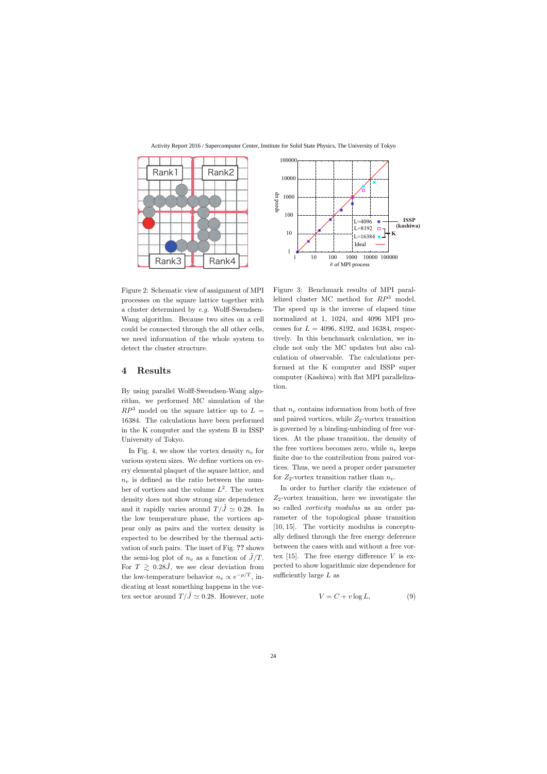

Figure 2: Schematic view of assignment of MPI processes on the square lattice together with a cluster determined by *e.g.* Wolff-Swendsen-Wang algorithm. Because two sites on a cell could be connected through the all other cells, we need information of the whole system to detect the cluster structure.

#### **4 Results**

By using parallel Wolff-Swendsen-Wang algorithm, we performed MC simulation of the  $RP^3$  model on the square lattice up to  $L =$ 16384. The calculations have been performed in the K computer and the system B in ISSP University of Tokyo.

In Fig. 4, we show the vortex density  $n_v$  for various system sizes. We define vortices on every elemental plaquet of the square lattice, and  $n_v$  is defined as the ratio between the number of vortices and the volume *L* 2 . The vortex density does not show strong size dependence and it rapidly varies around  $T/\tilde{J} \simeq 0.28$ . In the low temperature phase, the vortices appear only as pairs and the vortex density is expected to be described by the thermal activation of such pairs. The inset of Fig. **??** shows the semi-log plot of  $n_v$  as a function of  $\tilde{J}/T$ . For  $T \geq 0.28 \tilde{J}$ , we see clear deviation from the low-temperature behavior  $n_v \propto e^{-\mu/T}$ , indicating at least something happens in the vortex sector around  $T/\tilde{J} \simeq 0.28$ . However, note



Figure 3: Benchmark results of MPI parallelized cluster MC method for *RP*<sup>3</sup> model. The speed up is the inverse of elapsed time normalized at 1, 1024, and 4096 MPI processes for  $L = 4096, 8192,$  and 16384, respectively. In this benchmark calculation, we include not only the MC updates but also calculation of observable. The calculations performed at the K computer and ISSP super computer (Kashiwa) with flat MPI parallelization.

that  $n_v$  contains information from both of free and paired vortices, while *Z*2-vortex transition is governed by a binding-unbinding of free vortices. At the phase transition, the density of the free vortices becomes zero, while  $n<sub>v</sub>$  keeps finite due to the contribution from paired vortices. Thus, we need a proper order parameter for  $Z_2$ -vortex transition rather than  $n_v$ .

In order to further clarify the existence of *Z*2-vortex transition, here we investigate the so called *vorticity modulus* as an order parameter of the topological phase transition [10, 15]. The vorticity modulus is conceptually defined through the free energy deference between the cases with and without a free vortex [15]. The free energy difference *V* is expected to show logarithmic size dependence for sufficiently large *L* as

$$
V = C + v \log L,\tag{9}
$$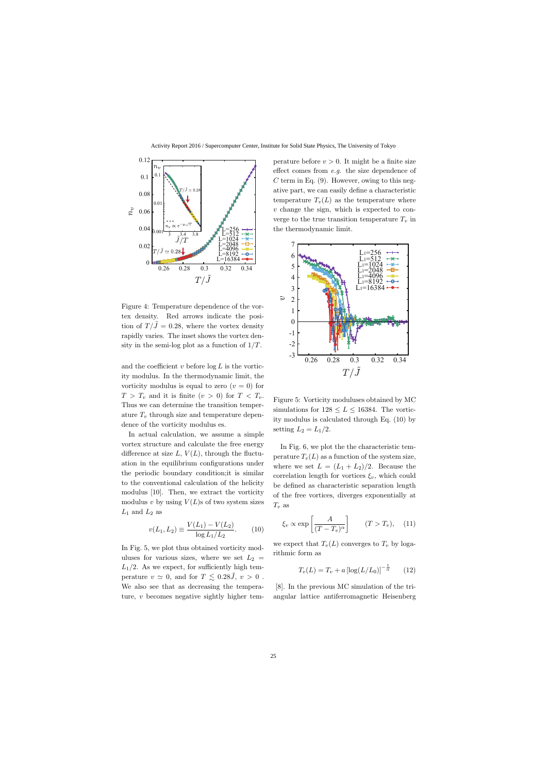

Figure 4: Temperature dependence of the vortex density. Red arrows indicate the position of  $T/\tilde{J} = 0.28$ , where the vortex density rapidly varies. The inset shows the vortex density in the semi-log plot as a function of  $1/T$ .

and the coefficient  $v$  before  $\log L$  is the vorticity modulus. In the thermodynamic limit, the vorticity modulus is equal to zero  $(v = 0)$  for  $T > T_v$  and it is finite  $(v > 0)$  for  $T < T_v$ . Thus we can determine the transition temperature *T<sup>v</sup>* through size and temperature dependence of the vorticity modulus es.

In actual calculation, we assume a simple vortex structure and calculate the free energy difference at size  $L, V(L)$ , through the fluctuation in the equilibrium configurations under the periodic boundary condition;it is similar to the conventional calculation of the helicity modulus [10]. Then, we extract the vorticity modulus  $v$  by using  $V(L)$ s of two system sizes  $L_1$  and  $L_2$  as

$$
v(L_1, L_2) \equiv \frac{V(L_1) - V(L_2)}{\log L_1/L_2}.
$$
 (10)

In Fig. 5, we plot thus obtained vorticity moduluses for various sizes, where we set  $L_2 =$  $L_1/2$ . As we expect, for sufficiently high temperature  $v \approx 0$ , and for  $T \lesssim 0.28 \tilde{J}$ ,  $v > 0$ . We also see that as decreasing the temperature, *v* becomes negative sightly higher tem-

perature before  $v > 0$ . It might be a finite size effect comes from *e.g.* the size dependence of *C* term in Eq. (9). However, owing to this negative part, we can easily define a characteristic temperature  $T_{\nu}(L)$  as the temperature where *v* change the sign, which is expected to converge to the true transition temperature  $T_v$  in the thermodynamic limit.



Figure 5: Vorticity moduluses obtained by MC simulations for  $128 \le L \le 16384$ . The vorticity modulus is calculated through Eq. (10) by setting  $L_2 = L_1/2$ .

In Fig. 6, we plot the the characteristic temperature  $T_v(L)$  as a function of the system size, where we set  $L = (L_1 + L_2)/2$ . Because the correlation length for vortices  $\xi_v$ , which could be defined as characteristic separation length of the free vortices, diverges exponentially at  $T_v$  as

$$
\xi_v \propto \exp\left[\frac{A}{(T-T_v)^{\alpha}}\right]
$$
  $(T > T_v),$  (11)

we expect that  $T_v(L)$  converges to  $T_v$  by logarithmic form as

$$
T_v(L) = T_v + a \left[ \log(L/L_0) \right]^{-\frac{1}{\alpha}} \qquad (12)
$$

[8]. In the previous MC simulation of the triangular lattice antiferromagnetic Heisenberg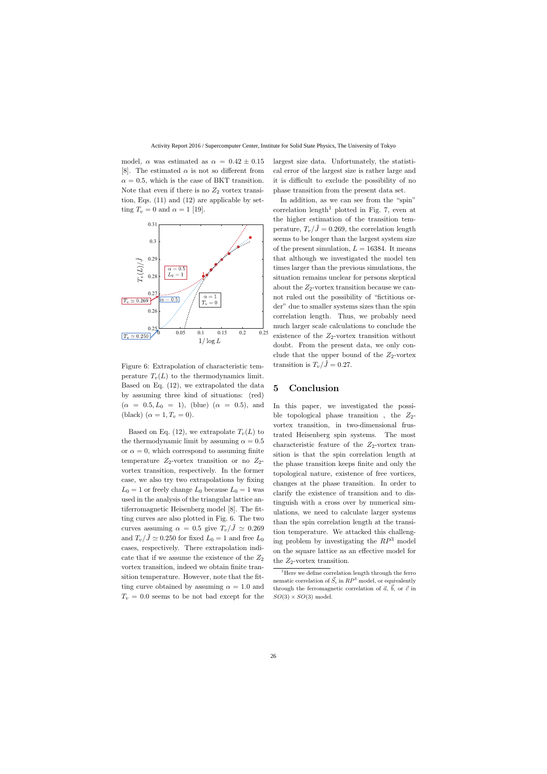model,  $\alpha$  was estimated as  $\alpha = 0.42 \pm 0.15$ [8]. The estimated  $\alpha$  is not so different from  $\alpha = 0.5$ , which is the case of BKT transition. Note that even if there is no  $Z_2$  vortex transition, Eqs. (11) and (12) are applicable by setting  $T_v = 0$  and  $\alpha = 1$  [19].



Figure 6: Extrapolation of characteristic temperature  $T_{\nu}(L)$  to the thermodynamics limit. Based on Eq. (12), we extrapolated the data by assuming three kind of situations: (red)  $(\alpha = 0.5, L_0 = 1)$ , (blue)  $(\alpha = 0.5)$ , and (black)  $(\alpha = 1, T_v = 0)$ .

Based on Eq. (12), we extrapolate  $T<sub>v</sub>(L)$  to the thermodynamic limit by assuming  $\alpha = 0.5$ or  $\alpha = 0$ , which correspond to assuming finite temperature  $Z_2$ -vortex transition or no  $Z_2$ vortex transition, respectively. In the former case, we also try two extrapolations by fixing  $L_0 = 1$  or freely change  $L_0$  because  $L_0 = 1$  was used in the analysis of the triangular lattice antiferromagnetic Heisenberg model [8]. The fitting curves are also plotted in Fig. 6. The two curves assuming  $\alpha = 0.5$  give  $T_v/\tilde{J} \simeq 0.269$ and  $T_v/\tilde{J} \simeq 0.250$  for fixed  $L_0 = 1$  and free  $L_0$ cases, respectively. There extrapolation indicate that if we assume the existence of the *Z*<sup>2</sup> vortex transition, indeed we obtain finite transition temperature. However, note that the fitting curve obtained by assuming  $\alpha = 1.0$  and  $T_v = 0.0$  seems to be not bad except for the

largest size data. Unfortunately, the statistical error of the largest size is rather large and it is difficult to exclude the possibility of no phase transition from the present data set.

In addition, as we can see from the "spin" correlation length<sup>1</sup> plotted in Fig. 7, even at the higher estimation of the transition temperature,  $T_v/\tilde{J} = 0.269$ , the correlation length seems to be longer than the largest system size of the present simulation,  $L = 16384$ . It means that although we investigated the model ten times larger than the previous simulations, the situation remains unclear for persons skeptical about the  $Z_2$ -vortex transition because we cannot ruled out the possibility of "fictitious order" due to smaller systems sizes than the spin correlation length. Thus, we probably need much larger scale calculations to conclude the existence of the  $Z_2$ -vortex transition without doubt. From the present data, we only conclude that the upper bound of the  $Z_2$ -vortex transition is  $T_v/\tilde{J} = 0.27$ .

#### **5 Conclusion**

In this paper, we investigated the possible topological phase transition, the  $Z_2$ vortex transition, in two-dimensional frustrated Heisenberg spin systems. The most characteristic feature of the  $Z_2$ -vortex transition is that the spin correlation length at the phase transition keeps finite and only the topological nature, existence of free vortices, changes at the phase transition. In order to clarify the existence of transition and to distinguish with a cross over by numerical simulations, we need to calculate larger systems than the spin correlation length at the transition temperature. We attacked this challenging problem by investigating the *RP*<sup>3</sup> model on the square lattice as an effective model for the  $Z_2$ -vortex transition.

<sup>&</sup>lt;sup>1</sup>Here we define correlation length through the ferro nematic correlation of  $\vec{S}_i$  in  $RP^3$  model, or equivalently through the ferromagnetic correlation of  $\vec{a}$ ,  $\vec{b}$ , or  $\vec{c}$  in  $SO(3) \times SO(3)$  model.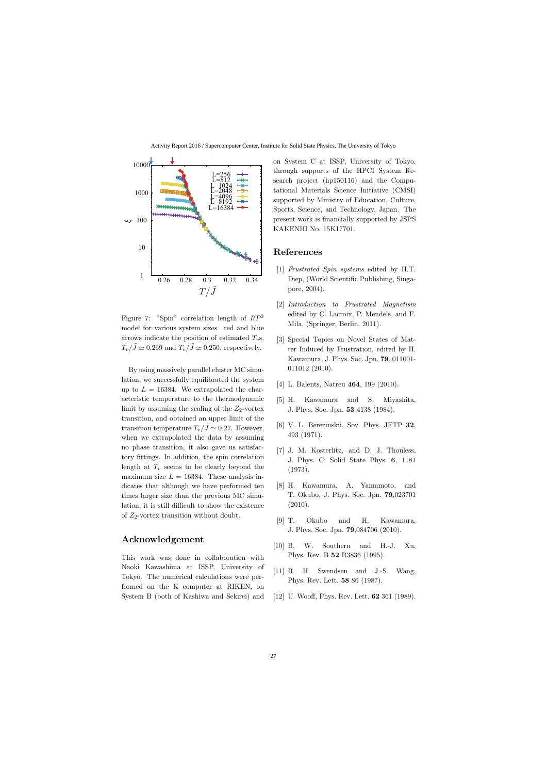

Figure 7: "Spin" correlation length of *RP*<sup>3</sup> model for various system sizes. red and blue arrows indicate the position of estimated  $T_v$ s,  $T_v/\tilde{J} \simeq 0.269$  and  $T_v/\tilde{J} \simeq 0.250$ , respectively.

By using massively parallel cluster MC simulation, we successfully equilibrated the system up to  $L = 16384$ . We extrapolated the characteristic temperature to the thermodynamic limit by assuming the scaling of the *Z*2-vortex transition, and obtained an upper limit of the transition temperature  $T_v/\tilde{J} \simeq 0.27$ . However, when we extrapolated the data by assuming no phase transition, it also gave us satisfactory fittings. In addition, the spin correlation length at  $T_v$  seems to be clearly beyond the maximum size  $L = 16384$ . These analysis indicates that although we have performed ten times larger size than the previous MC simulation, it is still difficult to show the existence of  $Z_2$ -vortex transition without doubt.

## **Acknowledgement**

This work was done in collaboration with Naoki Kawashima at ISSP, University of Tokyo. The numerical calculations were performed on the K computer at RIKEN, on System B (both of Kashiwa and Sekirei) and

on System C at ISSP, University of Tokyo, through supports of the HPCI System Research project (hp150116) and the Computational Materials Science Initiative (CMSI) supported by Ministry of Education, Culture, Sports, Science, and Technology, Japan. The present work is financially supported by JSPS KAKENHI No. 15K17701.

#### **References**

- [1] *Frustrated Spin systems* edited by H.T. Diep, (World Scientific Publishing, Singapore, 2004).
- [2] *Introduction to Frustrated Magnetism* edited by C. Lacroix, P. Mendels, and F. Mila, (Springer, Berlin, 2011).
- [3] Special Topics on Novel States of Matter Induced by Frustration, edited by H. Kawamura, J. Phys. Soc. Jpn. **79**, 011001- 011012 (2010).
- [4] L. Balents, Natreu **464**, 199 (2010).
- [5] H. Kawamura and S. Miyashita, J. Phys. Soc. Jpn. **53** 4138 (1984).
- [6] V. L. Berezinskii, Sov. Phys. JETP **32**, 493 (1971).
- [7] J. M. Kosterlitz, and D. J. Thouless, J. Phys. C: Solid State Phys. **6**, 1181 (1973).
- [8] H. Kawamura, A. Yamamoto, and T. Okubo, J. Phys. Soc. Jpn. **79**,023701 (2010).
- [9] T. Okubo and H. Kawamura, J. Phys. Soc. Jpn. **79**,084706 (2010).
- [10] B. W. Southern and H.-J. Xu, Phys. Rev. B **52** R3836 (1995).
- [11] R. H. Swendsen and J.-S. Wang, Phys. Rev. Lett. **58** 86 (1987).
- [12] U. Wooff, Phys. Rev. Lett. **62** 361 (1989).